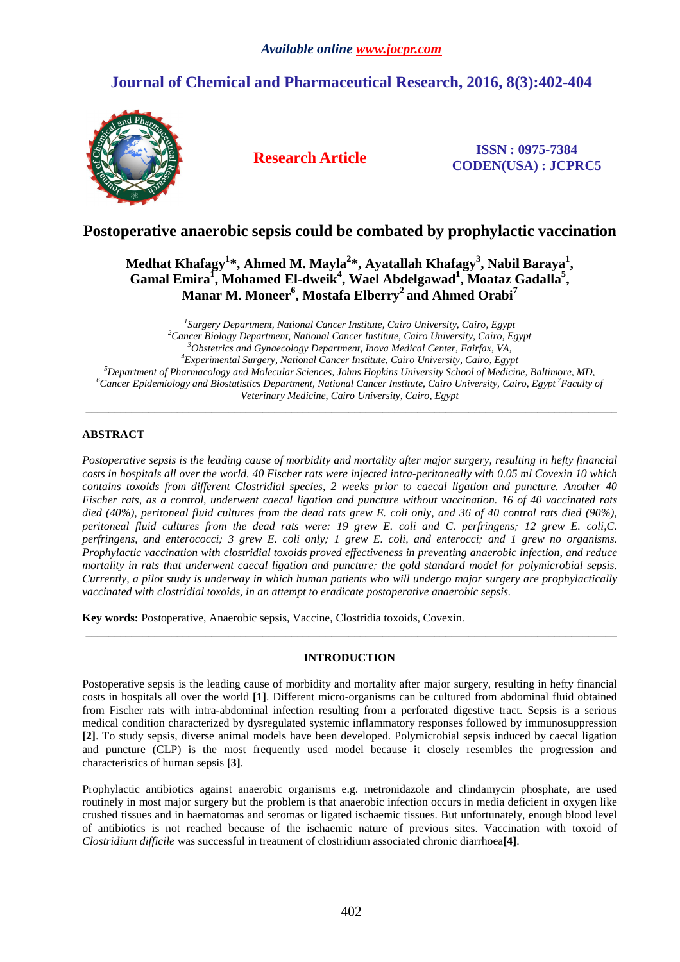## *Available online www.jocpr.com*

# **Journal of Chemical and Pharmaceutical Research, 2016, 8(3):402-404**



**Research Article ISSN : 0975-7384 CODEN(USA) : JCPRC5**

## **Postoperative anaerobic sepsis could be combated by prophylactic vaccination**

**Medhat Khafagy<sup>1</sup> \*, Ahmed M. Mayla<sup>2</sup> \*, Ayatallah Khafagy<sup>3</sup> , Nabil Baraya<sup>1</sup> ,**  Gamal Emira<sup>1</sup>, Mohamed El-dweik<sup>4</sup>, Wael Abdelgawad<sup>1</sup>, Moataz Gadalla<sup>5</sup>, **Manar M. Moneer<sup>6</sup> , Mostafa Elberry<sup>2</sup>and Ahmed Orabi<sup>7</sup>**

 *Surgery Department, National Cancer Institute, Cairo University, Cairo, Egypt Cancer Biology Department, National Cancer Institute, Cairo University, Cairo, Egypt Obstetrics and Gynaecology Department, Inova Medical Center, Fairfax, VA, Experimental Surgery, National Cancer Institute, Cairo University, Cairo, Egypt Department of Pharmacology and Molecular Sciences, Johns Hopkins University School of Medicine, Baltimore, MD, Cancer Epidemiology and Biostatistics Department, National Cancer Institute, Cairo University, Cairo, Egypt<sup>7</sup>Faculty of Veterinary Medicine, Cairo University, Cairo, Egypt* 

\_\_\_\_\_\_\_\_\_\_\_\_\_\_\_\_\_\_\_\_\_\_\_\_\_\_\_\_\_\_\_\_\_\_\_\_\_\_\_\_\_\_\_\_\_\_\_\_\_\_\_\_\_\_\_\_\_\_\_\_\_\_\_\_\_\_\_\_\_\_\_\_\_\_\_\_\_\_\_\_\_\_\_\_\_\_\_\_\_\_\_\_\_

## **ABSTRACT**

*Postoperative sepsis is the leading cause of morbidity and mortality after major surgery, resulting in hefty financial costs in hospitals all over the world. 40 Fischer rats were injected intra-peritoneally with 0.05 ml Covexin 10 which contains toxoids from different Clostridial species, 2 weeks prior to caecal ligation and puncture. Another 40 Fischer rats, as a control, underwent caecal ligation and puncture without vaccination. 16 of 40 vaccinated rats died (40%), peritoneal fluid cultures from the dead rats grew E. coli only, and 36 of 40 control rats died (90%), peritoneal fluid cultures from the dead rats were: 19 grew E. coli and C. perfringens; 12 grew E. coli,C. perfringens, and enterococci; 3 grew E. coli only; 1 grew E. coli, and enterocci; and 1 grew no organisms. Prophylactic vaccination with clostridial toxoids proved effectiveness in preventing anaerobic infection, and reduce mortality in rats that underwent caecal ligation and puncture; the gold standard model for polymicrobial sepsis. Currently, a pilot study is underway in which human patients who will undergo major surgery are prophylactically vaccinated with clostridial toxoids, in an attempt to eradicate postoperative anaerobic sepsis.* 

**Key words:** Postoperative, Anaerobic sepsis, Vaccine, Clostridia toxoids, Covexin.

## **INTRODUCTION**

 $\overline{a}$  , and the contribution of the contribution of the contribution of the contribution of the contribution of the contribution of the contribution of the contribution of the contribution of the contribution of the co

Postoperative sepsis is the leading cause of morbidity and mortality after major surgery, resulting in hefty financial costs in hospitals all over the world **[1]**. Different micro-organisms can be cultured from abdominal fluid obtained from Fischer rats with intra-abdominal infection resulting from a perforated digestive tract. Sepsis is a serious medical condition characterized by dysregulated systemic inflammatory responses followed by immunosuppression **[2]**. To study sepsis, diverse animal models have been developed. Polymicrobial sepsis induced by caecal ligation and puncture (CLP) is the most frequently used model because it closely resembles the progression and characteristics of human sepsis **[3]**.

Prophylactic antibiotics against anaerobic organisms e.g. metronidazole and clindamycin phosphate, are used routinely in most major surgery but the problem is that anaerobic infection occurs in media deficient in oxygen like crushed tissues and in haematomas and seromas or ligated ischaemic tissues. But unfortunately, enough blood level of antibiotics is not reached because of the ischaemic nature of previous sites. Vaccination with toxoid of *Clostridium difficile* was successful in treatment of clostridium associated chronic diarrhoea**[4]**.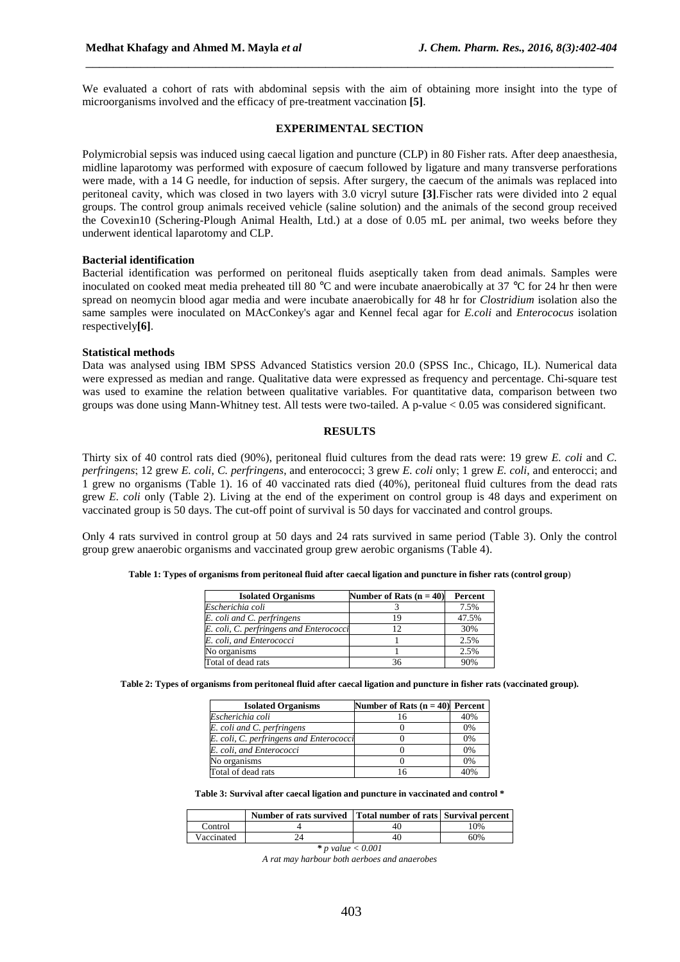We evaluated a cohort of rats with abdominal sepsis with the aim of obtaining more insight into the type of microorganisms involved and the efficacy of pre-treatment vaccination **[5]**.

\_\_\_\_\_\_\_\_\_\_\_\_\_\_\_\_\_\_\_\_\_\_\_\_\_\_\_\_\_\_\_\_\_\_\_\_\_\_\_\_\_\_\_\_\_\_\_\_\_\_\_\_\_\_\_\_\_\_\_\_\_\_\_\_\_\_\_\_\_\_\_\_\_\_\_\_\_

#### **EXPERIMENTAL SECTION**

Polymicrobial sepsis was induced using caecal ligation and puncture (CLP) in 80 Fisher rats. After deep anaesthesia, midline laparotomy was performed with exposure of caecum followed by ligature and many transverse perforations were made, with a 14 G needle, for induction of sepsis. After surgery, the caecum of the animals was replaced into peritoneal cavity, which was closed in two layers with 3.0 vicryl suture **[3]**.Fischer rats were divided into 2 equal groups. The control group animals received vehicle (saline solution) and the animals of the second group received the Covexin10 (Schering-Plough Animal Health, Ltd.) at a dose of 0.05 mL per animal, two weeks before they underwent identical laparotomy and CLP.

### **Bacterial identification**

Bacterial identification was performed on peritoneal fluids aseptically taken from dead animals. Samples were inoculated on cooked meat media preheated till 80 °C and were incubate anaerobically at 37 °C for 24 hr then were spread on neomycin blood agar media and were incubate anaerobically for 48 hr for *Clostridium* isolation also the same samples were inoculated on MAcConkey's agar and Kennel fecal agar for *E.coli* and *Enterococus* isolation respectively**[6]**.

#### **Statistical methods**

Data was analysed using IBM SPSS Advanced Statistics version 20.0 (SPSS Inc., Chicago, IL). Numerical data were expressed as median and range. Qualitative data were expressed as frequency and percentage. Chi-square test was used to examine the relation between qualitative variables. For quantitative data, comparison between two groups was done using Mann-Whitney test. All tests were two-tailed. A p-value < 0.05 was considered significant.

### **RESULTS**

Thirty six of 40 control rats died (90%), peritoneal fluid cultures from the dead rats were: 19 grew *E. coli* and *C. perfringens*; 12 grew *E. coli*, *C. perfringens*, and enterococci; 3 grew *E. coli* only; 1 grew *E. coli*, and enterocci; and 1 grew no organisms (Table 1). 16 of 40 vaccinated rats died (40%), peritoneal fluid cultures from the dead rats grew *E. coli* only (Table 2). Living at the end of the experiment on control group is 48 days and experiment on vaccinated group is 50 days. The cut-off point of survival is 50 days for vaccinated and control groups.

Only 4 rats survived in control group at 50 days and 24 rats survived in same period (Table 3). Only the control group grew anaerobic organisms and vaccinated group grew aerobic organisms (Table 4).

|  |  | Table 1: Types of organisms from peritoneal fluid after caecal ligation and puncture in fisher rats (control group) |  |  |  |
|--|--|---------------------------------------------------------------------------------------------------------------------|--|--|--|
|  |  |                                                                                                                     |  |  |  |

| <b>Isolated Organisms</b>               | Number of Rats $(n = 40)$ | Percent |
|-----------------------------------------|---------------------------|---------|
| Escherichia coli                        |                           | 7.5%    |
| E. coli and C. perfringens              |                           | 47.5%   |
| E. coli, C. perfringens and Enterococci |                           | 30%     |
| E. coli, and Enterococci                |                           | 2.5%    |
| No organisms                            |                           | 2.5%    |
| Total of dead rats                      |                           | 90%     |

**Table 2: Types of organisms from peritoneal fluid after caecal ligation and puncture in fisher rats (vaccinated group).** 

| <b>Isolated Organisms</b>               | Number of Rats $(n = 40)$ Percent |     |
|-----------------------------------------|-----------------------------------|-----|
| Escherichia coli                        |                                   | 40% |
| E. coli and C. perfringens              |                                   | 0%  |
| E. coli, C. perfringens and Enterococci |                                   | 0%  |
| E. coli, and Enterococci                |                                   | 0%  |
| No organisms                            |                                   | 0%  |
| Total of dead rats                      |                                   | 40% |

**Table 3: Survival after caecal ligation and puncture in vaccinated and control \*** 

|            | Number of rats survived Total number of rats Survival percent |    |     |
|------------|---------------------------------------------------------------|----|-----|
| Control    |                                                               | 40 | 10% |
| Vaccinated |                                                               | 40 | 50% |

*\* p value < 0.001* 

*A rat may harbour both aerboes and anaerobes*